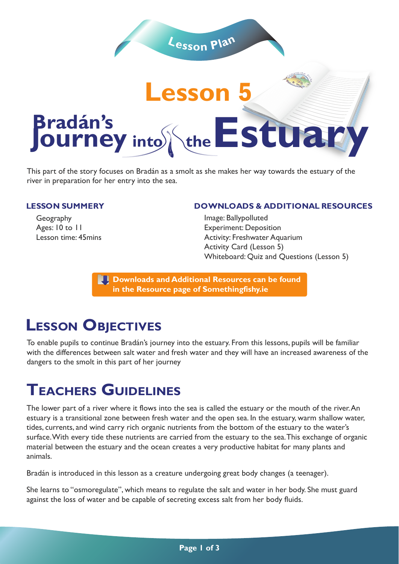

This part of the story focuses on Bradán as a smolt as she makes her way towards the estuary of the river in preparation for her entry into the sea.

#### **LESSON SUMMERY**

Geography Ages: 10 to 11 Lesson time: 45mins

#### **DOWNLOADS & ADDITIONAL RESOURCES**

Image: Ballypolluted Experiment: Deposition Activity: Freshwater Aquarium Activity Card (Lesson 5) Whiteboard: Quiz and Questions (Lesson 5)

**Downloads and Additional Resources can be found in the Resource page of Somethingfishy.ie** 

## **LESSON OBJECTIVES**

To enable pupils to continue Bradán's journey into the estuary. From this lessons, pupils will be familiar with the differences between salt water and fresh water and they will have an increased awareness of the dangers to the smolt in this part of her journey

# **TEACHERS GUIDELINES**

The lower part of a river where it flows into the sea is called the estuary or the mouth of the river. An estuary is a transitional zone between fresh water and the open sea. In the estuary, warm shallow water, tides, currents, and wind carry rich organic nutrients from the bottom of the estuary to the water's surface. With every tide these nutrients are carried from the estuary to the sea. This exchange of organic material between the estuary and the ocean creates a very productive habitat for many plants and animals.

Bradán is introduced in this lesson as a creature undergoing great body changes (a teenager).

She learns to "osmoregulate", which means to regulate the salt and water in her body. She must guard against the loss of water and be capable of secreting excess salt from her body fluids.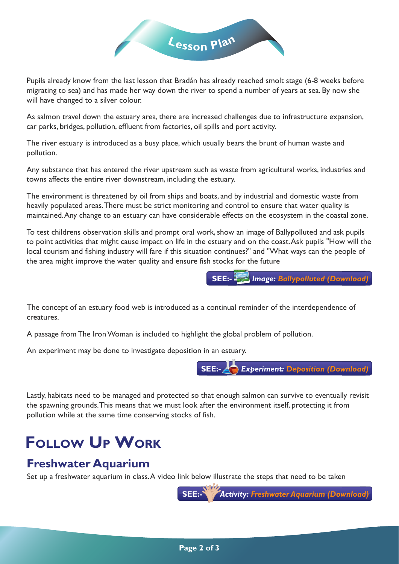

Pupils already know from the last lesson that Bradán has already reached smolt stage (6-8 weeks before migrating to sea) and has made her way down the river to spend a number of years at sea. By now she will have changed to a silver colour.

As salmon travel down the estuary area, there are increased challenges due to infrastructure expansion, car parks, bridges, pollution, effluent from factories, oil spills and port activity.

The river estuary is introduced as a busy place, which usually bears the brunt of human waste and pollution.

Any substance that has entered the river upstream such as waste from agricultural works, industries and towns affects the entire river downstream, including the estuary.

The environment is threatened by oil from ships and boats, and by industrial and domestic waste from heavily populated areas. There must be strict monitoring and control to ensure that water quality is maintained. Any change to an estuary can have considerable effects on the ecosystem in the coastal zone.

To test childrens observation skills and prompt oral work, show an image of Ballypolluted and ask pupils to point activities that might cause impact on life in the estuary and on the coast. Ask pupils "How will the local tourism and fishing industry will fare if this situation continues?" and "What ways can the people of the area might improve the water quality and ensure fish stocks for the future

**SEE:-** *Image: Ballypolluted (Download)*

The concept of an estuary food web is introduced as a continual reminder of the interdependence of creatures.

A passage from The Iron Woman is included to highlight the global problem of pollution.

An experiment may be done to investigate deposition in an estuary.



Lastly, habitats need to be managed and protected so that enough salmon can survive to eventually revisit the spawning grounds. This means that we must look after the environment itself, protecting it from pollution while at the same time conserving stocks of fish.

# **FOLLOW UP WORK**

### **Freshwater Aquarium**

Set up a freshwater aquarium in class. A video link below illustrate the steps that need to be taken

**SEE:-** *Activity: Freshwater Aquarium (Download)*